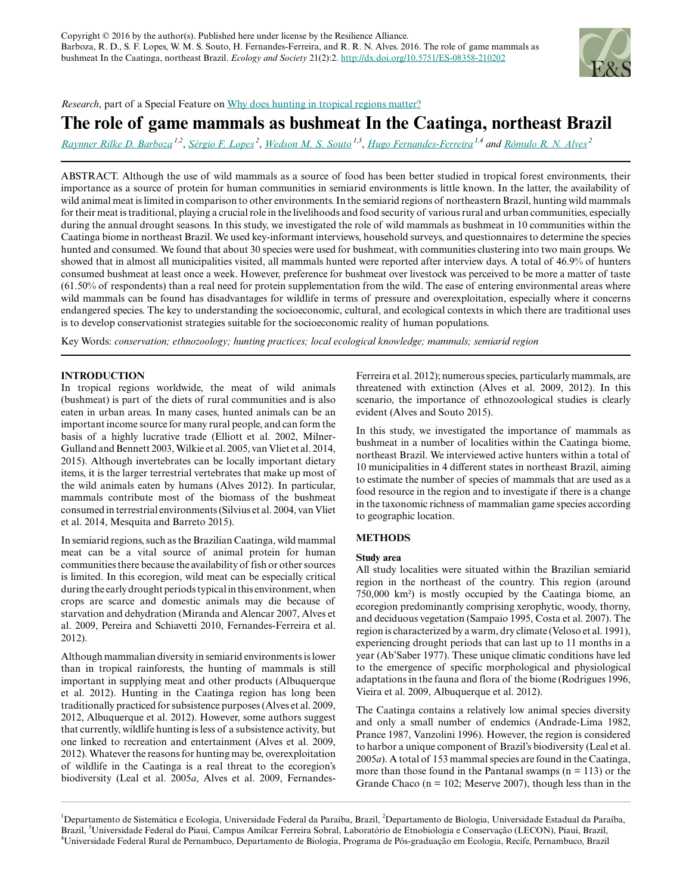

*Research*, part of a Special Feature on [Why does hunting in tropical regions matter?](http://www.ecologyandsociety.org/viewissue.php?sf=108)

# **The role of game mammals as bushmeat In the Caatinga, northeast Brazil**

*[Raynner Rilke D. Barboza](mailto:raynner@live.com) 1,2* , *[Sérgio F. Lopes](mailto:defarialopes@gmail.com)<sup>2</sup>* , *[Wedson M. S. Souto](mailto:wedson@ufpi.edu.br) 1,3* , *[Hugo Fernandes-Ferreira](mailto:hugofernandesbio@gmail.com) 1,4 and [Rômulo R. N. Alves](mailto:romulo_nobrega@yahoo.com.br)<sup>2</sup>*

ABSTRACT. Although the use of wild mammals as a source of food has been better studied in tropical forest environments, their importance as a source of protein for human communities in semiarid environments is little known. In the latter, the availability of wild animal meat is limited in comparison to other environments. In the semiarid regions of northeastern Brazil, hunting wild mammals for their meat is traditional, playing a crucial role in the livelihoods and food security of various rural and urban communities, especially during the annual drought seasons. In this study, we investigated the role of wild mammals as bushmeat in 10 communities within the Caatinga biome in northeast Brazil. We used key-informant interviews, household surveys, and questionnaires to determine the species hunted and consumed. We found that about 30 species were used for bushmeat, with communities clustering into two main groups. We showed that in almost all municipalities visited, all mammals hunted were reported after interview days. A total of 46.9% of hunters consumed bushmeat at least once a week. However, preference for bushmeat over livestock was perceived to be more a matter of taste (61.50% of respondents) than a real need for protein supplementation from the wild. The ease of entering environmental areas where wild mammals can be found has disadvantages for wildlife in terms of pressure and overexploitation, especially where it concerns endangered species. The key to understanding the socioeconomic, cultural, and ecological contexts in which there are traditional uses is to develop conservationist strategies suitable for the socioeconomic reality of human populations.

Key Words: *conservation; ethnozoology; hunting practices; local ecological knowledge; mammals; semiarid region*

# **INTRODUCTION**

In tropical regions worldwide, the meat of wild animals (bushmeat) is part of the diets of rural communities and is also eaten in urban areas. In many cases, hunted animals can be an important income source for many rural people, and can form the basis of a highly lucrative trade (Elliott et al. 2002, Milner-Gulland and Bennett 2003, Wilkie et al. 2005, van Vliet et al. 2014, 2015). Although invertebrates can be locally important dietary items, it is the larger terrestrial vertebrates that make up most of the wild animals eaten by humans (Alves 2012). In particular, mammals contribute most of the biomass of the bushmeat consumed in terrestrial environments (Silvius et al. 2004, van Vliet et al. 2014, Mesquita and Barreto 2015).

In semiarid regions, such as the Brazilian Caatinga, wild mammal meat can be a vital source of animal protein for human communities there because the availability of fish or other sources is limited. In this ecoregion, wild meat can be especially critical during the early drought periods typical in this environment, when crops are scarce and domestic animals may die because of starvation and dehydration (Miranda and Alencar 2007, Alves et al. 2009, Pereira and Schiavetti 2010, Fernandes-Ferreira et al. 2012).

Although mammalian diversity in semiarid environments is lower than in tropical rainforests, the hunting of mammals is still important in supplying meat and other products (Albuquerque et al. 2012). Hunting in the Caatinga region has long been traditionally practiced for subsistence purposes (Alves et al. 2009, 2012, Albuquerque et al. 2012). However, some authors suggest that currently, wildlife hunting is less of a subsistence activity, but one linked to recreation and entertainment (Alves et al. 2009, 2012). Whatever the reasons for hunting may be, overexploitation of wildlife in the Caatinga is a real threat to the ecoregion's biodiversity (Leal et al. 2005*a*, Alves et al. 2009, FernandesFerreira et al. 2012); numerous species, particularly mammals, are threatened with extinction (Alves et al. 2009, 2012). In this scenario, the importance of ethnozoological studies is clearly evident (Alves and Souto 2015).

In this study, we investigated the importance of mammals as bushmeat in a number of localities within the Caatinga biome, northeast Brazil. We interviewed active hunters within a total of 10 municipalities in 4 different states in northeast Brazil, aiming to estimate the number of species of mammals that are used as a food resource in the region and to investigate if there is a change in the taxonomic richness of mammalian game species according to geographic location.

# **METHODS**

# **Study area**

All study localities were situated within the Brazilian semiarid region in the northeast of the country. This region (around 750,000 km²) is mostly occupied by the Caatinga biome, an ecoregion predominantly comprising xerophytic, woody, thorny, and deciduous vegetation (Sampaio 1995, Costa et al. 2007). The region is characterized by a warm, dry climate (Veloso et al. 1991), experiencing drought periods that can last up to 11 months in a year (Ab'Saber 1977). These unique climatic conditions have led to the emergence of specific morphological and physiological adaptations in the fauna and flora of the biome (Rodrigues 1996, Vieira et al. 2009, Albuquerque et al. 2012).

The Caatinga contains a relatively low animal species diversity and only a small number of endemics (Andrade-Lima 1982, Prance 1987, Vanzolini 1996). However, the region is considered to harbor a unique component of Brazil's biodiversity (Leal et al. 2005*a*). A total of 153 mammal species are found in the Caatinga, more than those found in the Pantanal swamps  $(n = 113)$  or the Grande Chaco ( $n = 102$ ; Meserve 2007), though less than in the

<sup>1</sup>Departamento de Sistemática e Ecologia, Universidade Federal da Paraíba, Brazil, <sup>2</sup>Departamento de Biologia, Universidade Estadual da Paraíba, Brazil, <sup>3</sup>Universidade Federal do Piauí, Campus Amílcar Ferreira Sobral, Laboratório de Etnobiologia e Conservação (LECON), Piauí, Brazil, <sup>4</sup>Universidade Federal Rural de Pernambuco, Departamento de Biologia, Programa de Pós-graduação em Ecologia, Recife, Pernambuco, Brazil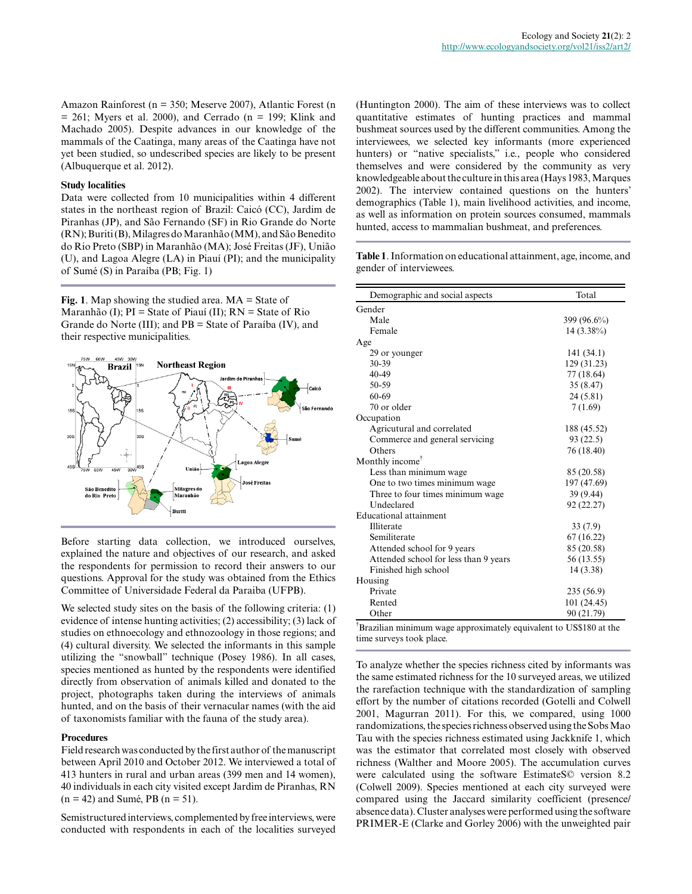Amazon Rainforest (n = 350; Meserve 2007), Atlantic Forest (n = 261; Myers et al. 2000), and Cerrado (n = 199; Klink and Machado 2005). Despite advances in our knowledge of the mammals of the Caatinga, many areas of the Caatinga have not yet been studied, so undescribed species are likely to be present (Albuquerque et al. 2012).

#### **Study localities**

Data were collected from 10 municipalities within 4 different states in the northeast region of Brazil: Caicó (CC), Jardim de Piranhas (JP), and São Fernando (SF) in Rio Grande do Norte (RN); Buriti (B), Milagres do Maranhão (MM), and São Benedito do Rio Preto (SBP) in Maranhão (MA); José Freitas (JF), União (U), and Lagoa Alegre (LA) in Piauí (PI); and the municipality of Sumé (S) in Paraíba (PB; Fig. 1)

**Fig. 1**. Map showing the studied area. MA = State of Maranhão (I);  $PI = State of Piauí (II); RN = State of Rio$ Grande do Norte (III); and PB = State of Paraíba (IV), and their respective municipalities.



Before starting data collection, we introduced ourselves, explained the nature and objectives of our research, and asked the respondents for permission to record their answers to our questions. Approval for the study was obtained from the Ethics Committee of Universidade Federal da Paraiba (UFPB).

We selected study sites on the basis of the following criteria: (1) evidence of intense hunting activities; (2) accessibility; (3) lack of studies on ethnoecology and ethnozoology in those regions; and (4) cultural diversity. We selected the informants in this sample utilizing the "snowball" technique (Posey 1986). In all cases, species mentioned as hunted by the respondents were identified directly from observation of animals killed and donated to the project, photographs taken during the interviews of animals hunted, and on the basis of their vernacular names (with the aid of taxonomists familiar with the fauna of the study area).

#### **Procedures**

Field research was conducted by the first author of the manuscript between April 2010 and October 2012. We interviewed a total of 413 hunters in rural and urban areas (399 men and 14 women), 40 individuals in each city visited except Jardim de Piranhas, RN  $(n = 42)$  and Sumé, PB  $(n = 51)$ .

Semistructured interviews, complemented by free interviews, were conducted with respondents in each of the localities surveyed (Huntington 2000). The aim of these interviews was to collect quantitative estimates of hunting practices and mammal bushmeat sources used by the different communities. Among the interviewees, we selected key informants (more experienced hunters) or "native specialists," i.e., people who considered themselves and were considered by the community as very knowledgeable about the culture in this area (Hays 1983, Marques 2002). The interview contained questions on the hunters' demographics (Table 1), main livelihood activities, and income, as well as information on protein sources consumed, mammals hunted, access to mammalian bushmeat, and preferences.

**Table 1**. Information on educational attainment, age, income, and gender of interviewees.

| Demographic and social aspects        | Total       |
|---------------------------------------|-------------|
| Gender                                |             |
| Male                                  | 399 (96.6%) |
| Female                                | 14 (3.38%)  |
| Age                                   |             |
| 29 or younger                         | 141(34.1)   |
| $30 - 39$                             | 129 (31.23) |
| $40 - 49$                             | 77 (18.64)  |
| 50-59                                 | 35 (8.47)   |
| 60-69                                 | 24 (5.81)   |
| 70 or older                           | 7(1.69)     |
| Occupation                            |             |
| Agricutural and correlated            | 188 (45.52) |
| Commerce and general servicing        | 93 (22.5)   |
| Others                                | 76 (18.40)  |
| Monthly income <sup>†</sup>           |             |
| Less than minimum wage                | 85 (20.58)  |
| One to two times minimum wage         | 197 (47.69) |
| Three to four times minimum wage.     | 39 (9.44)   |
| Undeclared                            | 92 (22.27)  |
| <b>Educational attainment</b>         |             |
| Illiterate                            | 33(7.9)     |
| Semiliterate                          | 67 (16.22)  |
| Attended school for 9 years           | 85 (20.58)  |
| Attended school for less than 9 years | 56 (13.55)  |
| Finished high school                  | 14 (3.38)   |
| Housing                               |             |
| Private                               | 235 (56.9)  |
| Rented                                | 101 (24.45) |
| Other                                 | 90 (21.79)  |

†Brazilian minimum wage approximately equivalent to US\$180 at the time surveys took place.

To analyze whether the species richness cited by informants was the same estimated richness for the 10 surveyed areas, we utilized the rarefaction technique with the standardization of sampling effort by the number of citations recorded (Gotelli and Colwell 2001, Magurran 2011). For this, we compared, using 1000 randomizations, the species richness observed using the Sobs Mao Tau with the species richness estimated using Jackknife 1, which was the estimator that correlated most closely with observed richness (Walther and Moore 2005). The accumulation curves were calculated using the software EstimateS© version 8.2 (Colwell 2009). Species mentioned at each city surveyed were compared using the Jaccard similarity coefficient (presence/ absence data). Cluster analyses were performed using the software PRIMER-E (Clarke and Gorley 2006) with the unweighted pair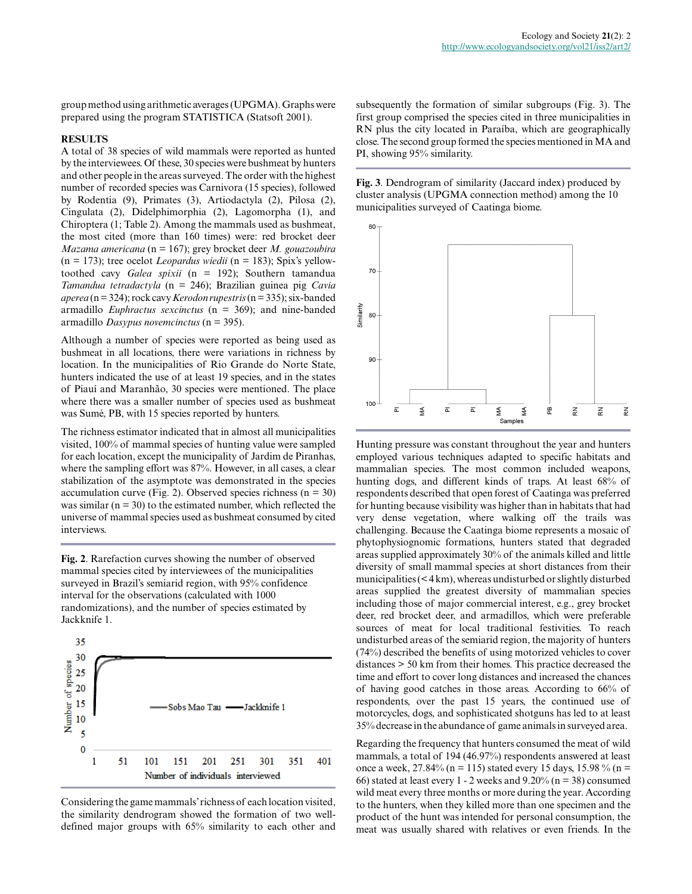group method using arithmetic averages (UPGMA). Graphs were prepared using the program STATISTICA (Statsoft 2001).

#### **RESULTS**

A total of 38 species of wild mammals were reported as hunted by the interviewees. Of these, 30 species were bushmeat by hunters and other people in the areas surveyed. The order with the highest number of recorded species was Carnivora (15 species), followed by Rodentia (9), Primates (3), Artiodactyla (2), Pilosa (2), Cingulata (2), Didelphimorphia (2), Lagomorpha (1), and Chiroptera (1; Table 2). Among the mammals used as bushmeat, the most cited (more than 160 times) were: red brocket deer *Mazama americana* (n = 167); grey brocket deer *M. gouazoubira* (n = 173); tree ocelot *Leopardus wiedii* (n = 183); Spix's yellowtoothed cavy *Galea spixii* (n = 192); Southern tamandua *Tamandua tetradactyla* (n = 246); Brazilian guinea pig *Cavia aperea* (n = 324); rock cavy *Kerodon rupestris* (n = 335); six-banded armadillo *Euphractus sexcinctus* (n = 369); and nine-banded armadillo *Dasypus novemcinctus* (n = 395).

Although a number of species were reported as being used as bushmeat in all locations, there were variations in richness by location. In the municipalities of Rio Grande do Norte State, hunters indicated the use of at least 19 species, and in the states of Piauí and Maranhão, 30 species were mentioned. The place where there was a smaller number of species used as bushmeat was Sumé, PB, with 15 species reported by hunters.

The richness estimator indicated that in almost all municipalities visited, 100% of mammal species of hunting value were sampled for each location, except the municipality of Jardim de Piranhas, where the sampling effort was 87%. However, in all cases, a clear stabilization of the asymptote was demonstrated in the species accumulation curve (Fig. 2). Observed species richness ( $n = 30$ ) was similar ( $n = 30$ ) to the estimated number, which reflected the universe of mammal species used as bushmeat consumed by cited interviews.

**Fig. 2**. Rarefaction curves showing the number of observed mammal species cited by interviewees of the municipalities surveyed in Brazil's semiarid region, with 95% confidence interval for the observations (calculated with 1000 randomizations), and the number of species estimated by Jackknife 1.



Considering the game mammals' richness of each location visited, the similarity dendrogram showed the formation of two welldefined major groups with 65% similarity to each other and

subsequently the formation of similar subgroups (Fig. 3). The first group comprised the species cited in three municipalities in RN plus the city located in Paraíba, which are geographically close. The second group formed the species mentioned in MA and PI, showing 95% similarity.

**Fig. 3**. Dendrogram of similarity (Jaccard index) produced by cluster analysis (UPGMA connection method) among the 10 municipalities surveyed of Caatinga biome.



Hunting pressure was constant throughout the year and hunters employed various techniques adapted to specific habitats and mammalian species. The most common included weapons, hunting dogs, and different kinds of traps. At least 68% of respondents described that open forest of Caatinga was preferred for hunting because visibility was higher than in habitats that had very dense vegetation, where walking off the trails was challenging. Because the Caatinga biome represents a mosaic of phytophysiognomic formations, hunters stated that degraded areas supplied approximately 30% of the animals killed and little diversity of small mammal species at short distances from their municipalities (< 4 km), whereas undisturbed or slightly disturbed areas supplied the greatest diversity of mammalian species including those of major commercial interest, e.g., grey brocket deer, red brocket deer, and armadillos, which were preferable sources of meat for local traditional festivities. To reach undisturbed areas of the semiarid region, the majority of hunters (74%) described the benefits of using motorized vehicles to cover distances > 50 km from their homes. This practice decreased the time and effort to cover long distances and increased the chances of having good catches in those areas. According to 66% of respondents, over the past 15 years, the continued use of motorcycles, dogs, and sophisticated shotguns has led to at least 35% decrease in the abundance of game animals in surveyed area.

Regarding the frequency that hunters consumed the meat of wild mammals, a total of 194 (46.97%) respondents answered at least once a week,  $27.84\%$  (n = 115) stated every 15 days, 15.98 % (n = 66) stated at least every 1 - 2 weeks and  $9.20\%$  (n = 38) consumed wild meat every three months or more during the year. According to the hunters, when they killed more than one specimen and the product of the hunt was intended for personal consumption, the meat was usually shared with relatives or even friends. In the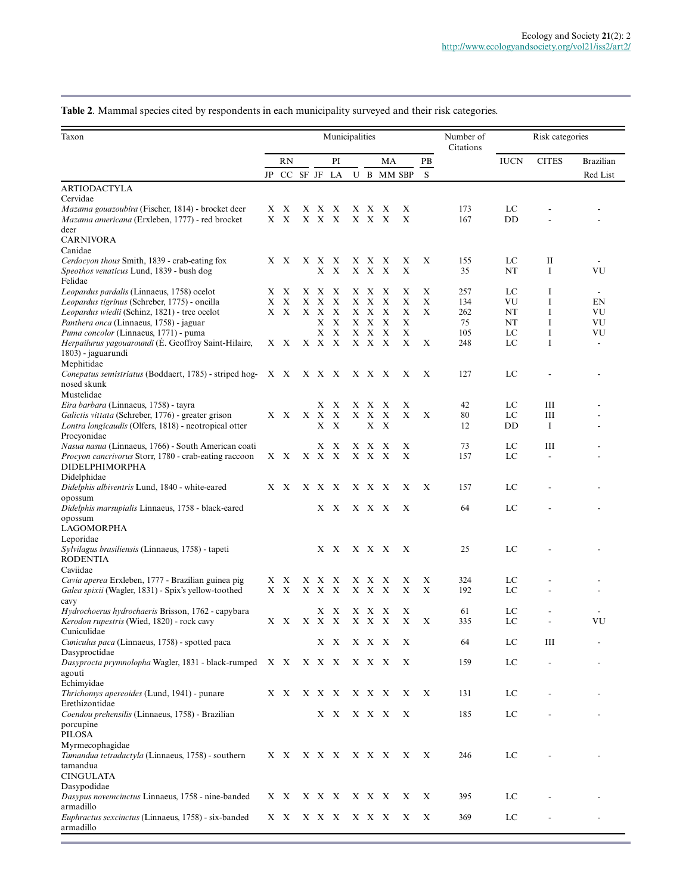# **Table 2**. Mammal species cited by respondents in each municipality surveyed and their risk categories.

| Taxon<br>Municipalities                                                                                            |    |             |     |                |                                 |   |              |                                |            |        | Number of  | Risk categories |              |                          |
|--------------------------------------------------------------------------------------------------------------------|----|-------------|-----|----------------|---------------------------------|---|--------------|--------------------------------|------------|--------|------------|-----------------|--------------|--------------------------|
|                                                                                                                    |    | RN          |     |                | PI                              |   |              | MA                             |            | PВ     | Citations  | <b>IUCN</b>     | <b>CITES</b> | <b>Brazilian</b>         |
|                                                                                                                    | JP | CC SF JF LA |     |                |                                 |   |              |                                | U B MM SBP | S      |            |                 |              | Red List                 |
| ARTIODACTYLA                                                                                                       |    |             |     |                |                                 |   |              |                                |            |        |            |                 |              |                          |
| Cervidae                                                                                                           |    |             |     |                |                                 |   |              |                                |            |        |            |                 |              |                          |
| <i>Mazama gouazoubira</i> (Fischer, 1814) - brocket deer<br><i>Mazama americana</i> (Erxleben, 1777) - red brocket |    | X X<br>X X  |     | X X X<br>X X X |                                 |   | X X<br>X X   | X<br>$\boldsymbol{\mathrm{X}}$ | X<br>X     |        | 173<br>167 | LC<br>DD        |              |                          |
| deer                                                                                                               |    |             |     |                |                                 |   |              |                                |            |        |            |                 |              |                          |
| <b>CARNIVORA</b>                                                                                                   |    |             |     |                |                                 |   |              |                                |            |        |            |                 |              |                          |
| Canidae                                                                                                            |    | X X         | X   | X              | X                               |   |              | X                              |            | X      | 155        | LC              | П            |                          |
| Cerdocyon thous Smith, 1839 - crab-eating fox<br>Speothos venaticus Lund, 1839 - bush dog                          |    |             |     |                | XX                              |   | X X<br>X X X |                                | Х<br>X     |        | 35         | NT              | I            | VU                       |
| Felidae                                                                                                            |    |             |     |                |                                 |   |              |                                |            |        |            |                 |              |                          |
| <i>Leopardus pardalis</i> (Linnaeus, 1758) ocelot                                                                  |    | X X         |     | X X X          |                                 |   | X X X        |                                | X          | X      | 257        | LC              | I            | $\overline{\phantom{a}}$ |
| Leopardus tigrinus (Schreber, 1775) - oncilla                                                                      | Х  | X<br>X X    | X   | X<br>X X X     | X                               | X | X<br>X X X   | X                              | Х<br>X     | X<br>X | 134<br>262 | VU<br>NT        | 1<br>I       | EN<br>VU                 |
| Leopardus wiedii (Schinz, 1821) - tree ocelot<br>Panthera onca (Linnaeus, 1758) - jaguar                           |    |             |     | X              | X                               |   | XX           | X                              | Х          |        | 75         | NT              | Ι            | VU                       |
| Puma concolor (Linnaeus, 1771) - puma                                                                              |    |             |     |                | XX                              |   | X X          | $\boldsymbol{\mathrm{X}}$      | Х          |        | 105        | LC              | I            | VU                       |
| Herpailurus yagouaroundi (É. Geoffroy Saint-Hilaire,                                                               |    | X X         |     | X X X          |                                 |   | X X X        |                                | X          | X      | 248        | LC              | I            | $\overline{\phantom{a}}$ |
| 1803) - jaguarundi                                                                                                 |    |             |     |                |                                 |   |              |                                |            |        |            |                 |              |                          |
| Mephitidae<br>Conepatus semistriatus (Boddaert, 1785) - striped hog- X X                                           |    |             | XXX |                |                                 |   | X X X        |                                | X          | X      | 127        | LC              |              |                          |
| nosed skunk                                                                                                        |    |             |     |                |                                 |   |              |                                |            |        |            |                 |              |                          |
| Mustelidae                                                                                                         |    |             |     |                |                                 |   |              |                                |            |        |            |                 |              |                          |
| Eira barbara (Linnaeus, 1758) - tayra                                                                              |    |             |     | X.             | X                               |   | X X          | X                              | X          |        | 42         | LC              | Ш            |                          |
| Galictis vittata (Schreber, 1776) - greater grison<br>Lontra longicaudis (Olfers, 1818) - neotropical otter        |    | X X         |     | X X            | $\boldsymbol{\mathrm{X}}$<br>XX | X | X            | X<br>X X                       | X          | X      | 80<br>12   | LC<br>DD        | Ш<br>Ι.      |                          |
| Procyonidae                                                                                                        |    |             |     |                |                                 |   |              |                                |            |        |            |                 |              |                          |
| <i>Nasua nasua</i> (Linnaeus, 1766) - South American coati                                                         |    |             |     | X              | Х                               | X | X            | X                              | X          |        | 73         | LC              | Ш            |                          |
| Procyon cancrivorus Storr, 1780 - crab-eating raccoon                                                              |    | X X         |     | X X X          |                                 |   | X X          | $\boldsymbol{\mathrm{X}}$      | X          |        | 157        | LC              |              |                          |
| DIDELPHIMORPHA<br>Didelphidae                                                                                      |    |             |     |                |                                 |   |              |                                |            |        |            |                 |              |                          |
| Didelphis albiventris Lund, 1840 - white-eared                                                                     |    | X X         |     | X X X          |                                 |   | X X X        |                                | X          | X      | 157        | LC              |              |                          |
| opossum                                                                                                            |    |             |     |                |                                 |   |              |                                |            |        |            |                 |              |                          |
| Didelphis marsupialis Linnaeus, 1758 - black-eared                                                                 |    |             |     |                | XX                              |   | X X X        |                                | X          |        | 64         | LC              |              |                          |
| opossum<br>LAGOMORPHA                                                                                              |    |             |     |                |                                 |   |              |                                |            |        |            |                 |              |                          |
| Leporidae                                                                                                          |    |             |     |                |                                 |   |              |                                |            |        |            |                 |              |                          |
| Sylvilagus brasiliensis (Linnaeus, 1758) - tapeti                                                                  |    |             |     |                | XX                              |   | X X X        |                                | X          |        | 25         | LC              |              |                          |
| <b>RODENTIA</b>                                                                                                    |    |             |     |                |                                 |   |              |                                |            |        |            |                 |              |                          |
| Caviidae<br>Cavia aperea Erxleben, 1777 - Brazilian guinea pig                                                     | X  | X           | X   | X              | X                               |   | X X          | X                              | Х          | X      | 324        | LC              |              |                          |
| Galea spixii (Wagler, 1831) - Spix's yellow-toothed                                                                |    | X X         |     | X X X          |                                 |   | X X X        |                                | Х          | X      | 192        | LC              |              |                          |
| cavy                                                                                                               |    |             |     |                |                                 |   |              |                                |            |        |            |                 |              |                          |
| <i>Hydrochoerus hydrochaeris</i> Brisson, 1762 - capybara                                                          |    |             |     |                | XX                              |   | X X X        |                                | X          |        | 61         | LC              |              |                          |
| Kerodon rupestris (Wied, 1820) - rock cavy<br>Cuniculidae                                                          |    | XX          |     | X X X          |                                 |   | X X X        |                                | X          | X      | 335        | LC              |              | VU                       |
| Cuniculus paca (Linnaeus, 1758) - spotted paca                                                                     |    |             |     |                | X X                             |   |              | X X X                          | X          |        | 64         | LC              | Ш            |                          |
| Dasyproctidae                                                                                                      |    |             |     |                |                                 |   |              |                                |            |        |            |                 |              |                          |
| Dasyprocta prymnolopha Wagler, 1831 - black-rumped X X X X X                                                       |    |             |     |                |                                 |   |              | X X X                          | X          |        | 159        | LC              |              |                          |
| agouti<br>Echimyidae                                                                                               |    |             |     |                |                                 |   |              |                                |            |        |            |                 |              |                          |
| Thrichomys apereoides (Lund, 1941) - punare                                                                        |    | X X         |     | X X X          |                                 |   |              | X X X                          | X          | X      | 131        | LC              |              |                          |
| Erethizontidae                                                                                                     |    |             |     |                |                                 |   |              |                                |            |        |            |                 |              |                          |
| Coendou prehensilis (Linnaeus, 1758) - Brazilian                                                                   |    |             |     |                | X X                             |   |              | X X X                          | X          |        | 185        | LC              |              |                          |
| porcupine<br>PILOSA                                                                                                |    |             |     |                |                                 |   |              |                                |            |        |            |                 |              |                          |
| Myrmecophagidae                                                                                                    |    |             |     |                |                                 |   |              |                                |            |        |            |                 |              |                          |
| Tamandua tetradactyla (Linnaeus, 1758) - southern                                                                  |    | X X         |     |                | X X X X X X                     |   |              |                                | X          | X      | 246        | LC              |              |                          |
| tamandua                                                                                                           |    |             |     |                |                                 |   |              |                                |            |        |            |                 |              |                          |
| <b>CINGULATA</b>                                                                                                   |    |             |     |                |                                 |   |              |                                |            |        |            |                 |              |                          |
| Dasypodidae<br>Dasypus novemcinctus Linnaeus, 1758 - nine-banded                                                   |    | X X         |     |                | X X X                           |   |              | X X X                          | X          | X      | 395        | LC              |              |                          |
| armadillo                                                                                                          |    |             |     |                |                                 |   |              |                                |            |        |            |                 |              |                          |
| Euphractus sexcinctus (Linnaeus, 1758) - six-banded                                                                |    | X X         |     |                | X X X                           |   |              | X X X                          | X          | X      | 369        | LC              |              |                          |
| armadillo                                                                                                          |    |             |     |                |                                 |   |              |                                |            |        |            |                 |              |                          |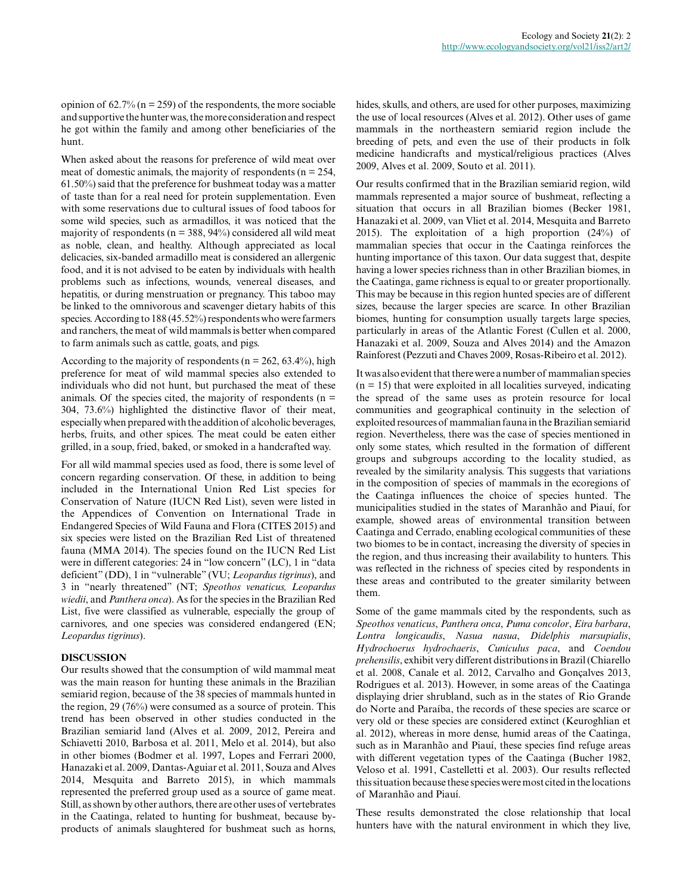opinion of  $62.7\%$  (n = 259) of the respondents, the more sociable and supportive the hunter was, the more consideration and respect he got within the family and among other beneficiaries of the hunt.

When asked about the reasons for preference of wild meat over meat of domestic animals, the majority of respondents ( $n = 254$ , 61.50%) said that the preference for bushmeat today was a matter of taste than for a real need for protein supplementation. Even with some reservations due to cultural issues of food taboos for some wild species, such as armadillos, it was noticed that the majority of respondents ( $n = 388, 94\%$ ) considered all wild meat as noble, clean, and healthy. Although appreciated as local delicacies, six-banded armadillo meat is considered an allergenic food, and it is not advised to be eaten by individuals with health problems such as infections, wounds, venereal diseases, and hepatitis, or during menstruation or pregnancy. This taboo may be linked to the omnivorous and scavenger dietary habits of this species. According to 188 (45.52%) respondents who were farmers and ranchers, the meat of wild mammals is better when compared to farm animals such as cattle, goats, and pigs.

According to the majority of respondents ( $n = 262, 63.4\%$ ), high preference for meat of wild mammal species also extended to individuals who did not hunt, but purchased the meat of these animals. Of the species cited, the majority of respondents ( $n =$ 304, 73.6%) highlighted the distinctive flavor of their meat, especially when prepared with the addition of alcoholic beverages, herbs, fruits, and other spices. The meat could be eaten either grilled, in a soup, fried, baked, or smoked in a handcrafted way.

For all wild mammal species used as food, there is some level of concern regarding conservation. Of these, in addition to being included in the International Union Red List species for Conservation of Nature (IUCN Red List), seven were listed in the Appendices of Convention on International Trade in Endangered Species of Wild Fauna and Flora (CITES 2015) and six species were listed on the Brazilian Red List of threatened fauna (MMA 2014). The species found on the IUCN Red List were in different categories: 24 in "low concern" (LC), 1 in "data deficient" (DD), 1 in "vulnerable" (VU; *Leopardus tigrinus*), and 3 in "nearly threatened" (NT; *Speothos venaticus, Leopardus wiedii*, and *Panthera onca*). As for the species in the Brazilian Red List, five were classified as vulnerable, especially the group of carnivores, and one species was considered endangered (EN; *Leopardus tigrinus*).

# **DISCUSSION**

Our results showed that the consumption of wild mammal meat was the main reason for hunting these animals in the Brazilian semiarid region, because of the 38 species of mammals hunted in the region, 29 (76%) were consumed as a source of protein. This trend has been observed in other studies conducted in the Brazilian semiarid land (Alves et al. 2009, 2012, Pereira and Schiavetti 2010, Barbosa et al. 2011, Melo et al. 2014), but also in other biomes (Bodmer et al. 1997, Lopes and Ferrari 2000, Hanazaki et al. 2009, Dantas-Aguiar et al. 2011, Souza and Alves 2014, Mesquita and Barreto 2015), in which mammals represented the preferred group used as a source of game meat. Still, as shown by other authors, there are other uses of vertebrates in the Caatinga, related to hunting for bushmeat, because byproducts of animals slaughtered for bushmeat such as horns, hides, skulls, and others, are used for other purposes, maximizing the use of local resources (Alves et al. 2012). Other uses of game mammals in the northeastern semiarid region include the breeding of pets, and even the use of their products in folk medicine handicrafts and mystical/religious practices (Alves 2009, Alves et al. 2009, Souto et al. 2011).

Our results confirmed that in the Brazilian semiarid region, wild mammals represented a major source of bushmeat, reflecting a situation that occurs in all Brazilian biomes (Becker 1981, Hanazaki et al. 2009, van Vliet et al. 2014, Mesquita and Barreto 2015). The exploitation of a high proportion (24%) of mammalian species that occur in the Caatinga reinforces the hunting importance of this taxon. Our data suggest that, despite having a lower species richness than in other Brazilian biomes, in the Caatinga, game richness is equal to or greater proportionally. This may be because in this region hunted species are of different sizes, because the larger species are scarce. In other Brazilian biomes, hunting for consumption usually targets large species, particularly in areas of the Atlantic Forest (Cullen et al. 2000, Hanazaki et al. 2009, Souza and Alves 2014) and the Amazon Rainforest (Pezzuti and Chaves 2009, Rosas-Ribeiro et al. 2012).

It was also evident that there were a number of mammalian species  $(n = 15)$  that were exploited in all localities surveyed, indicating the spread of the same uses as protein resource for local communities and geographical continuity in the selection of exploited resources of mammalian fauna in the Brazilian semiarid region. Nevertheless, there was the case of species mentioned in only some states, which resulted in the formation of different groups and subgroups according to the locality studied, as revealed by the similarity analysis. This suggests that variations in the composition of species of mammals in the ecoregions of the Caatinga influences the choice of species hunted. The municipalities studied in the states of Maranhão and Piauí, for example, showed areas of environmental transition between Caatinga and Cerrado, enabling ecological communities of these two biomes to be in contact, increasing the diversity of species in the region, and thus increasing their availability to hunters. This was reflected in the richness of species cited by respondents in these areas and contributed to the greater similarity between them.

Some of the game mammals cited by the respondents, such as *Speothos venaticus*, *Panthera onca*, *Puma concolor*, *Eira barbara*, *Lontra longicaudis*, *Nasua nasua*, *Didelphis marsupialis*, *Hydrochoerus hydrochaeris*, *Cuniculus paca*, and *Coendou prehensilis*, exhibit very different distributions in Brazil (Chiarello et al. 2008, Canale et al. 2012, Carvalho and Gonçalves 2013, Rodrigues et al. 2013). However, in some areas of the Caatinga displaying drier shrubland, such as in the states of Rio Grande do Norte and Paraíba, the records of these species are scarce or very old or these species are considered extinct (Keuroghlian et al. 2012), whereas in more dense, humid areas of the Caatinga, such as in Maranhão and Piauí, these species find refuge areas with different vegetation types of the Caatinga (Bucher 1982, Veloso et al. 1991, Castelletti et al. 2003). Our results reflected this situation because these species were most cited in the locations of Maranhão and Piauí.

These results demonstrated the close relationship that local hunters have with the natural environment in which they live,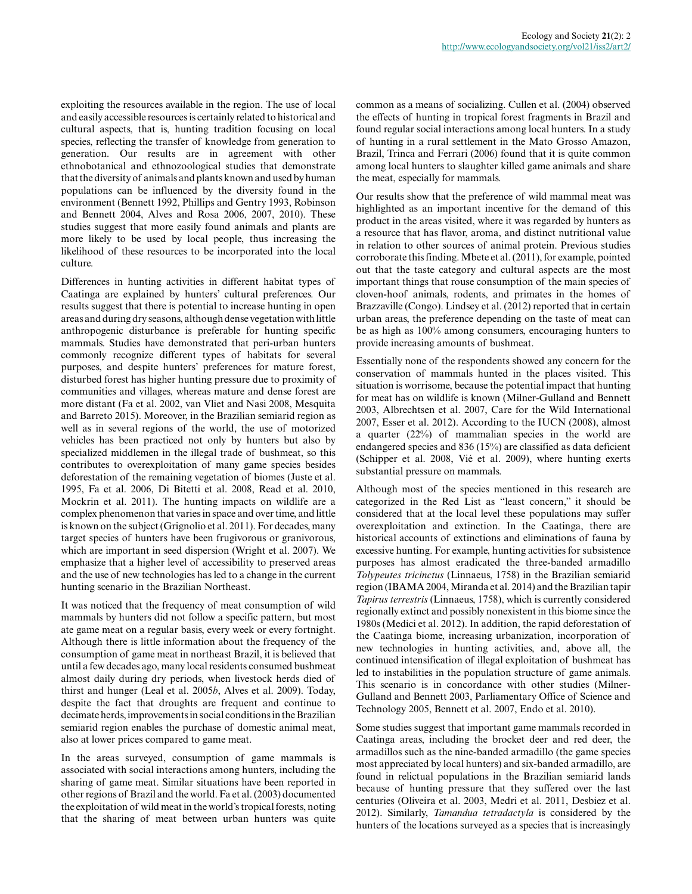exploiting the resources available in the region. The use of local and easily accessible resources is certainly related to historical and cultural aspects, that is, hunting tradition focusing on local species, reflecting the transfer of knowledge from generation to generation. Our results are in agreement with other ethnobotanical and ethnozoological studies that demonstrate that the diversity of animals and plants known and used by human populations can be influenced by the diversity found in the environment (Bennett 1992, Phillips and Gentry 1993, Robinson and Bennett 2004, Alves and Rosa 2006, 2007, 2010). These studies suggest that more easily found animals and plants are more likely to be used by local people, thus increasing the likelihood of these resources to be incorporated into the local culture.

Differences in hunting activities in different habitat types of Caatinga are explained by hunters' cultural preferences. Our results suggest that there is potential to increase hunting in open areas and during dry seasons, although dense vegetation with little anthropogenic disturbance is preferable for hunting specific mammals. Studies have demonstrated that peri-urban hunters commonly recognize different types of habitats for several purposes, and despite hunters' preferences for mature forest, disturbed forest has higher hunting pressure due to proximity of communities and villages, whereas mature and dense forest are more distant (Fa et al. 2002, van Vliet and Nasi 2008, Mesquita and Barreto 2015). Moreover, in the Brazilian semiarid region as well as in several regions of the world, the use of motorized vehicles has been practiced not only by hunters but also by specialized middlemen in the illegal trade of bushmeat, so this contributes to overexploitation of many game species besides deforestation of the remaining vegetation of biomes (Juste et al. 1995, Fa et al. 2006, Di Bitetti et al. 2008, Read et al. 2010, Mockrin et al. 2011). The hunting impacts on wildlife are a complex phenomenon that varies in space and over time, and little is known on the subject (Grignolio et al. 2011). For decades, many target species of hunters have been frugivorous or granivorous, which are important in seed dispersion (Wright et al. 2007). We emphasize that a higher level of accessibility to preserved areas and the use of new technologies has led to a change in the current hunting scenario in the Brazilian Northeast.

It was noticed that the frequency of meat consumption of wild mammals by hunters did not follow a specific pattern, but most ate game meat on a regular basis, every week or every fortnight. Although there is little information about the frequency of the consumption of game meat in northeast Brazil, it is believed that until a few decades ago, many local residents consumed bushmeat almost daily during dry periods, when livestock herds died of thirst and hunger (Leal et al. 2005*b*, Alves et al. 2009). Today, despite the fact that droughts are frequent and continue to decimate herds, improvements in social conditions in the Brazilian semiarid region enables the purchase of domestic animal meat, also at lower prices compared to game meat.

In the areas surveyed, consumption of game mammals is associated with social interactions among hunters, including the sharing of game meat. Similar situations have been reported in other regions of Brazil and the world. Fa et al. (2003) documented the exploitation of wild meat in the world's tropical forests, noting that the sharing of meat between urban hunters was quite

common as a means of socializing. Cullen et al. (2004) observed the effects of hunting in tropical forest fragments in Brazil and found regular social interactions among local hunters. In a study of hunting in a rural settlement in the Mato Grosso Amazon, Brazil, Trinca and Ferrari (2006) found that it is quite common among local hunters to slaughter killed game animals and share the meat, especially for mammals.

Our results show that the preference of wild mammal meat was highlighted as an important incentive for the demand of this product in the areas visited, where it was regarded by hunters as a resource that has flavor, aroma, and distinct nutritional value in relation to other sources of animal protein. Previous studies corroborate this finding. Mbete et al. (2011), for example, pointed out that the taste category and cultural aspects are the most important things that rouse consumption of the main species of cloven-hoof animals, rodents, and primates in the homes of Brazzaville (Congo). Lindsey et al. (2012) reported that in certain urban areas, the preference depending on the taste of meat can be as high as 100% among consumers, encouraging hunters to provide increasing amounts of bushmeat.

Essentially none of the respondents showed any concern for the conservation of mammals hunted in the places visited. This situation is worrisome, because the potential impact that hunting for meat has on wildlife is known (Milner-Gulland and Bennett 2003, Albrechtsen et al. 2007, Care for the Wild International 2007, Esser et al. 2012). According to the IUCN (2008), almost a quarter (22%) of mammalian species in the world are endangered species and 836 (15%) are classified as data deficient (Schipper et al. 2008, Vié et al. 2009), where hunting exerts substantial pressure on mammals.

Although most of the species mentioned in this research are categorized in the Red List as "least concern," it should be considered that at the local level these populations may suffer overexploitation and extinction. In the Caatinga, there are historical accounts of extinctions and eliminations of fauna by excessive hunting. For example, hunting activities for subsistence purposes has almost eradicated the three-banded armadillo *Tolypeutes tricinctus* (Linnaeus, 1758) in the Brazilian semiarid region (IBAMA 2004, Miranda et al. 2014) and the Brazilian tapir *Tapirus terrestris* (Linnaeus, 1758), which is currently considered regionally extinct and possibly nonexistent in this biome since the 1980s (Medici et al. 2012). In addition, the rapid deforestation of the Caatinga biome, increasing urbanization, incorporation of new technologies in hunting activities, and, above all, the continued intensification of illegal exploitation of bushmeat has led to instabilities in the population structure of game animals. This scenario is in concordance with other studies (Milner-Gulland and Bennett 2003, Parliamentary Office of Science and Technology 2005, Bennett et al. 2007, Endo et al. 2010).

Some studies suggest that important game mammals recorded in Caatinga areas, including the brocket deer and red deer, the armadillos such as the nine-banded armadillo (the game species most appreciated by local hunters) and six-banded armadillo, are found in relictual populations in the Brazilian semiarid lands because of hunting pressure that they suffered over the last centuries (Oliveira et al. 2003, Medri et al. 2011, Desbiez et al. 2012). Similarly, *Tamandua tetradactyla* is considered by the hunters of the locations surveyed as a species that is increasingly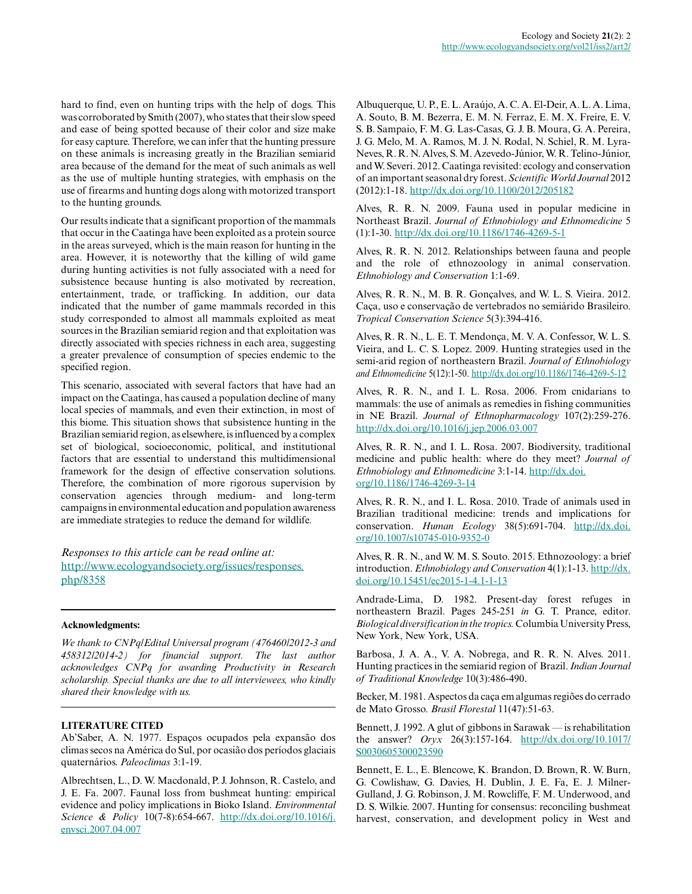hard to find, even on hunting trips with the help of dogs. This was corroborated by Smith (2007), who states that their slow speed and ease of being spotted because of their color and size make for easy capture. Therefore, we can infer that the hunting pressure on these animals is increasing greatly in the Brazilian semiarid area because of the demand for the meat of such animals as well as the use of multiple hunting strategies, with emphasis on the use of firearms and hunting dogs along with motorized transport to the hunting grounds.

Our results indicate that a significant proportion of the mammals that occur in the Caatinga have been exploited as a protein source in the areas surveyed, which is the main reason for hunting in the area. However, it is noteworthy that the killing of wild game during hunting activities is not fully associated with a need for subsistence because hunting is also motivated by recreation, entertainment, trade, or trafficking. In addition, our data indicated that the number of game mammals recorded in this study corresponded to almost all mammals exploited as meat sources in the Brazilian semiarid region and that exploitation was directly associated with species richness in each area, suggesting a greater prevalence of consumption of species endemic to the specified region.

This scenario, associated with several factors that have had an impact on the Caatinga, has caused a population decline of many local species of mammals, and even their extinction, in most of this biome. This situation shows that subsistence hunting in the Brazilian semiarid region, as elsewhere, is influenced by a complex set of biological, socioeconomic, political, and institutional factors that are essential to understand this multidimensional framework for the design of effective conservation solutions. Therefore, the combination of more rigorous supervision by conservation agencies through medium- and long-term campaigns in environmental education and population awareness are immediate strategies to reduce the demand for wildlife.

*Responses to this article can be read online at:* [http://www.ecologyandsociety.org/issues/responses.](http://www.ecologyandsociety.org/issues/responses.php/8358) [php/8358](http://www.ecologyandsociety.org/issues/responses.php/8358)

#### **Acknowledgments:**

*We thank to CNPq/Edital Universal program (476460/2012-3 and 458312/2014-2) for financial support. The last author acknowledges CNPq for awarding Productivity in Research scholarship. Special thanks are due to all interviewees, who kindly shared their knowledge with us.*

#### **LITERATURE CITED**

Ab'Saber, A. N. 1977. Espaços ocupados pela expansão dos climas secos na América do Sul, por ocasião dos períodos glaciais quaternários. *Paleoclimas* 3:1-19.

Albrechtsen, L., D. W. Macdonald, P. J. Johnson, R. Castelo, and J. E. Fa. 2007. Faunal loss from bushmeat hunting: empirical evidence and policy implications in Bioko Island. *Environmental Science & Policy* 10(7-8):654-667. [http://dx.doi.org/10.1016/j.](http://dx.doi.org/10.1016%2Fj.envsci.2007.04.007) [envsci.2007.04.007](http://dx.doi.org/10.1016%2Fj.envsci.2007.04.007) 

Albuquerque, U. P., E. L. Araújo, A. C. A. El-Deir, A. L. A. Lima, A. Souto, B. M. Bezerra, E. M. N. Ferraz, E. M. X. Freire, E. V. S. B. Sampaio, F. M. G. Las-Casas, G. J. B. Moura, G. A. Pereira, J. G. Melo, M. A. Ramos, M. J. N. Rodal, N. Schiel, R. M. Lyra-Neves, R. R. N. Alves, S. M. Azevedo-Júnior, W. R. Telino-Júnior, and W. Severi. 2012. Caatinga revisited: ecology and conservation of an important seasonal dry forest. *Scientific World Journal* 2012 (2012):1-18. [http://dx.doi.org/10.1100/2012/205182](http://dx.doi.org/10.1100%2F2012%2F205182)

Alves, R. R. N. 2009. Fauna used in popular medicine in Northeast Brazil. *Journal of Ethnobiology and Ethnomedicine* 5 (1):1-30. [http://dx.doi.org/10.1186/1746-4269-5-1](http://dx.doi.org/10.1186%2F1746-4269-5-1)

Alves, R. R. N. 2012. Relationships between fauna and people and the role of ethnozoology in animal conservation. *Ethnobiology and Conservation* 1:1-69.

Alves, R. R. N., M. B. R. Gonçalves, and W. L. S. Vieira. 2012. Caça, uso e conservação de vertebrados no semiárido Brasileiro. *Tropical Conservation Science* 5(3):394-416.

Alves, R. R. N., L. E. T. Mendonça, M. V. A. Confessor, W. L. S. Vieira, and L. C. S. Lopez. 2009. Hunting strategies used in the semi-arid region of northeastern Brazil. *Journal of Ethnobiology and Ethnomedicine* 5(12):1-50. [http://dx.doi.org/10.1186/1746-4269-5-12](http://dx.doi.org/10.1186%2F1746-4269-5-12)

Alves, R. R. N., and I. L. Rosa. 2006. From cnidarians to mammals: the use of animals as remedies in fishing communities in NE Brazil. *Journal of Ethnopharmacology* 107(2):259-276. [http://dx.doi.org/10.1016/j.jep.2006.03.007](http://dx.doi.org/10.1016%2Fj.jep.2006.03.007) 

Alves, R. R. N., and I. L. Rosa. 2007. Biodiversity, traditional medicine and public health: where do they meet? *Journal of Ethnobiology and Ethnomedicine* 3:1-14. [http://dx.doi.](http://dx.doi.org/10.1186%2F1746-4269-3-14) [org/10.1186/1746-4269-3-14](http://dx.doi.org/10.1186%2F1746-4269-3-14) 

Alves, R. R. N., and I. L. Rosa. 2010. Trade of animals used in Brazilian traditional medicine: trends and implications for conservation. *Human Ecology* 38(5):691-704. [http://dx.doi.](http://dx.doi.org/10.1007%2Fs10745-010-9352-0) [org/10.1007/s10745-010-9352-0](http://dx.doi.org/10.1007%2Fs10745-010-9352-0)

Alves, R. R. N., and W. M. S. Souto. 2015. Ethnozoology: a brief introduction. *Ethnobiology and Conservation* 4(1):1-13. [http://dx.](http://dx.doi.org/10.15451%2Fec2015-1-4.1-1-13) [doi.org/10.15451/ec2015-1-4.1-1-13](http://dx.doi.org/10.15451%2Fec2015-1-4.1-1-13) 

Andrade-Lima, D. 1982. Present-day forest refuges in northeastern Brazil. Pages 245-251 *in* G. T. Prance, editor. *Biological diversification in the tropics.* Columbia University Press, New York, New York, USA.

Barbosa, J. A. A., V. A. Nobrega, and R. R. N. Alves. 2011. Hunting practices in the semiarid region of Brazil. *Indian Journal of Traditional Knowledge* 10(3):486-490.

Becker, M. 1981. Aspectos da caça em algumas regiões do cerrado de Mato Grosso. *Brasil Florestal* 11(47):51-63.

Bennett, J. 1992. A glut of gibbons in Sarawak — is rehabilitation the answer? *Oryx* 26(3):157-164. [http://dx.doi.org/10.1017/](http://dx.doi.org/10.1017%2FS0030605300023590) [S0030605300023590](http://dx.doi.org/10.1017%2FS0030605300023590) 

Bennett, E. L., E. Blencowe, K. Brandon, D. Brown, R. W. Burn, G. Cowlishaw, G. Davies, H. Dublin, J. E. Fa, E. J. Milner-Gulland, J. G. Robinson, J. M. Rowcliffe, F. M. Underwood, and D. S. Wilkie. 2007. Hunting for consensus: reconciling bushmeat harvest, conservation, and development policy in West and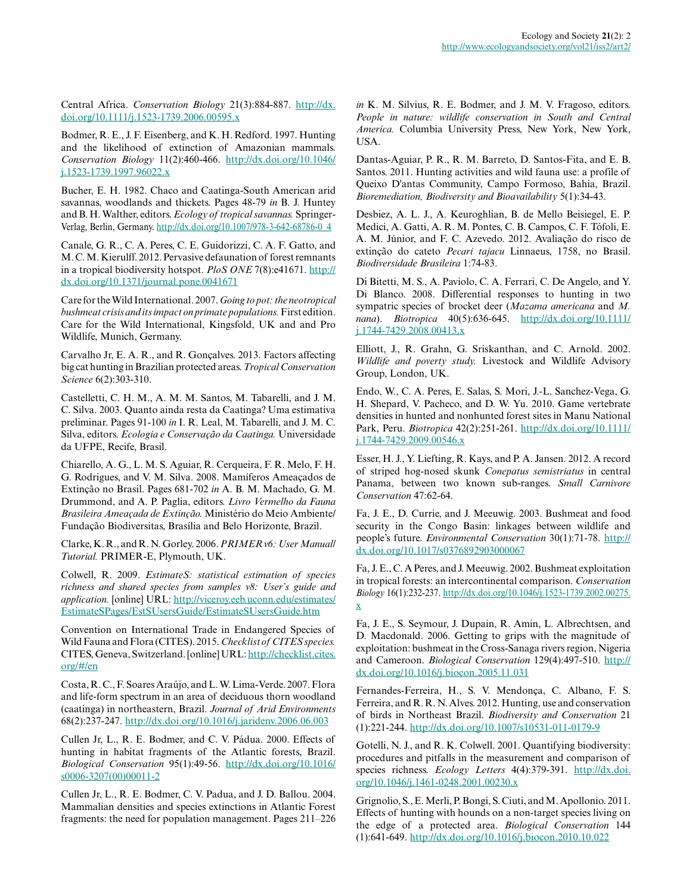Central Africa. *Conservation Biology* 21(3):884-887. [http://dx.](http://dx.doi.org/10.1111%2Fj.1523-1739.2006.00595.x) [doi.org/10.1111/j.1523-1739.2006.00595.x](http://dx.doi.org/10.1111%2Fj.1523-1739.2006.00595.x)

Bodmer, R. E., J. F. Eisenberg, and K. H. Redford. 1997. Hunting and the likelihood of extinction of Amazonian mammals. *Conservation Biology* 11(2):460-466. [http://dx.doi.org/10.1046/](http://dx.doi.org/10.1046%2Fj.1523-1739.1997.96022.x) [j.1523-1739.1997.96022.x](http://dx.doi.org/10.1046%2Fj.1523-1739.1997.96022.x)

Bucher, E. H. 1982. Chaco and Caatinga-South American arid savannas, woodlands and thickets. Pages 48-79 *in* B. J. Huntey and B. H. Walther, editors. *Ecology of tropical savannas.* Springer-Verlag, Berlin, Germany. [http://dx.doi.org/10.1007/978-3-642-68786-0\\_4](http://dx.doi.org/10.1007%2F978-3-642-68786-0_4)

Canale, G. R., C. A. Peres, C. E. Guidorizzi, C. A. F. Gatto, and M. C. M. Kierulff. 2012. Pervasive defaunation of forest remnants in a tropical biodiversity hotspot. *PloS ONE* 7(8):e41671. [http://](http://dx.doi.org/10.1371%2Fjournal.pone.0041671) [dx.doi.org/10.1371/journal.pone.0041671](http://dx.doi.org/10.1371%2Fjournal.pone.0041671)

Care for the Wild International. 2007. *Going to pot: the neotropical bushmeat crisis and its impact on primate populations.* First edition. Care for the Wild International, Kingsfold, UK and and Pro Wildlife, Munich, Germany.

Carvalho Jr, E. A. R., and R. Gonçalves. 2013. Factors affecting big cat hunting in Brazilian protected areas. *Tropical Conservation Science* 6(2):303-310.

Castelletti, C. H. M., A. M. M. Santos, M. Tabarelli, and J. M. C. Silva. 2003. Quanto ainda resta da Caatinga? Uma estimativa preliminar. Pages 91-100 *in* I. R. Leal, M. Tabarelli, and J. M. C. Silva, editors. *Ecologia e Conservação da Caatinga.* Universidade da UFPE, Recife, Brasil.

Chiarello, A. G., L. M. S. Aguiar, R. Cerqueira, F. R. Melo, F. H. G. Rodrigues, and V. M. Silva. 2008. Mamíferos Ameaçados de Extinção no Brasil. Pages 681-702 *in* A. B. M. Machado, G. M. Drummond, and A. P. Paglia, editors. *Livro Vermelho da Fauna Brasileira Ameaçada de Extinção.* Ministério do Meio Ambiente/ Fundação Biodiversitas, Brasília and Belo Horizonte, Brazil.

Clarke, K. R., and R. N. Gorley. 2006. *PRIMER v6: User Manual/ Tutorial.* PRIMER-E, Plymouth, UK.

Colwell, R. 2009. *EstimateS: statistical estimation of species richness and shared species from samples v8: User's guide and application.* [online] URL: [http://viceroy.eeb.uconn.edu/estimates/](http://viceroy.eeb.uconn.edu/estimates/EstimateSPages/EstSUsersGuide/EstimateSUsersGuide.htm) [EstimateSPages/EstSUsersGuide/EstimateSUsersGuide.htm](http://viceroy.eeb.uconn.edu/estimates/EstimateSPages/EstSUsersGuide/EstimateSUsersGuide.htm)

Convention on International Trade in Endangered Species of Wild Fauna and Flora (CITES). 2015. *Checklist of CITES species.* CITES, Geneva, Switzerland. [online] URL: [http://checklist.cites.](http://checklist.cites.org/#/en) [org/#/en](http://checklist.cites.org/#/en) 

Costa, R. C., F. Soares Araújo, and L. W. Lima-Verde. 2007. Flora and life-form spectrum in an area of deciduous thorn woodland (caatinga) in northeastern, Brazil. *Journal of Arid Environments* 68(2):237-247. [http://dx.doi.org/10.1016/j.jaridenv.2006.06.003](http://dx.doi.org/10.1016%2Fj.jaridenv.2006.06.003) 

Cullen Jr, L., R. E. Bodmer, and C. V. Pádua. 2000. Effects of hunting in habitat fragments of the Atlantic forests, Brazil. *Biological Conservation* 95(1):49-56. [http://dx.doi.org/10.1016/](http://dx.doi.org/10.1016%2Fs0006-3207%2800%2900011-2) [s0006-3207\(00\)00011-2](http://dx.doi.org/10.1016%2Fs0006-3207%2800%2900011-2)

Cullen Jr, L., R. E. Bodmer, C. V. Padua, and J. D. Ballou. 2004. Mammalian densities and species extinctions in Atlantic Forest fragments: the need for population management. Pages 211–226 *in* K. M. Silvius, R. E. Bodmer, and J. M. V. Fragoso, editors. *People in nature: wildlife conservation in South and Central America.* Columbia University Press, New York, New York, USA.

Dantas-Aguiar, P. R., R. M. Barreto, D. Santos-Fita, and E. B. Santos. 2011. Hunting activities and wild fauna use: a profile of Queixo D'antas Community, Campo Formoso, Bahia, Brazil. *Bioremediation, Biodiversity and Bioavailability* 5(1):34-43.

Desbiez, A. L. J., A. Keuroghlian, B. de Mello Beisiegel, E. P. Medici, A. Gatti, A. R. M. Pontes, C. B. Campos, C. F. Tófoli, E. A. M. Júnior, and F. C. Azevedo. 2012. Avaliação do risco de extinção do cateto *Pecari tajacu* Linnaeus, 1758, no Brasil. *Biodiversidade Brasileira* 1:74-83.

Di Bitetti, M. S., A. Paviolo, C. A. Ferrari, C. De Angelo, and Y. Di Blanco. 2008. Differential responses to hunting in two sympatric species of brocket deer (*Mazama americana* and *M. nana*). *Biotropica* 40(5):636-645. [http://dx.doi.org/10.1111/](http://dx.doi.org/10.1111%2Fj.1744-7429.2008.00413.x) [j.1744-7429.2008.00413.x](http://dx.doi.org/10.1111%2Fj.1744-7429.2008.00413.x)

Elliott, J., R. Grahn, G. Sriskanthan, and C. Arnold. 2002. *Wildlife and poverty study.* Livestock and Wildlife Advisory Group, London, UK.

Endo, W., C. A. Peres, E. Salas, S. Mori, J.-L. Sanchez-Vega, G. H. Shepard, V. Pacheco, and D. W. Yu. 2010. Game vertebrate densities in hunted and nonhunted forest sites in Manu National Park, Peru. *Biotropica* 42(2):251-261. [http://dx.doi.org/10.1111/](http://dx.doi.org/10.1111%2Fj.1744-7429.2009.00546.x) [j.1744-7429.2009.00546.x](http://dx.doi.org/10.1111%2Fj.1744-7429.2009.00546.x)

Esser, H. J., Y. Liefting, R. Kays, and P. A. Jansen. 2012. A record of striped hog-nosed skunk *Conepatus semistriatus* in central Panama, between two known sub-ranges. *Small Carnivore Conservation* 47:62-64.

Fa, J. E., D. Currie, and J. Meeuwig. 2003. Bushmeat and food security in the Congo Basin: linkages between wildlife and people's future. *Environmental Conservation* 30(1):71-78. [http://](http://dx.doi.org/10.1017%2Fs0376892903000067) [dx.doi.org/10.1017/s0376892903000067](http://dx.doi.org/10.1017%2Fs0376892903000067)

Fa, J. E., C. A Peres, and J. Meeuwig. 2002. Bushmeat exploitation in tropical forests: an intercontinental comparison. *Conservation Biology* 16(1):232-237. [http://dx.doi.org/10.1046/j.1523-1739.2002.00275.](http://dx.doi.org/10.1046%2Fj.1523-1739.2002.00275.x) [x](http://dx.doi.org/10.1046%2Fj.1523-1739.2002.00275.x) 

Fa, J. E., S. Seymour, J. Dupain, R. Amin, L. Albrechtsen, and D. Macdonald. 2006. Getting to grips with the magnitude of exploitation: bushmeat in the Cross-Sanaga rivers region, Nigeria and Cameroon. *Biological Conservation* 129(4):497-510. [http://](http://dx.doi.org/10.1016%2Fj.biocon.2005.11.031) [dx.doi.org/10.1016/j.biocon.2005.11.031](http://dx.doi.org/10.1016%2Fj.biocon.2005.11.031) 

Fernandes-Ferreira, H., S. V. Mendonça, C. Albano, F. S. Ferreira, and R. R. N. Alves. 2012. Hunting, use and conservation of birds in Northeast Brazil. *Biodiversity and Conservation* 21 (1):221-244. [http://dx.doi.org/10.1007/s10531-011-0179-9](http://dx.doi.org/10.1007%2Fs10531-011-0179-9) 

Gotelli, N. J., and R. K. Colwell. 2001. Quantifying biodiversity: procedures and pitfalls in the measurement and comparison of species richness. *Ecology Letters* 4(4):379-391. [http://dx.doi.](http://dx.doi.org/10.1046%2Fj.1461-0248.2001.00230.x) [org/10.1046/j.1461-0248.2001.00230.x](http://dx.doi.org/10.1046%2Fj.1461-0248.2001.00230.x)

Grignolio, S., E. Merli, P. Bongi, S. Ciuti, and M. Apollonio. 2011. Effects of hunting with hounds on a non-target species living on the edge of a protected area. *Biological Conservation* 144 (1):641-649. [http://dx.doi.org/10.1016/j.biocon.2010.10.022](http://dx.doi.org/10.1016%2Fj.biocon.2010.10.022)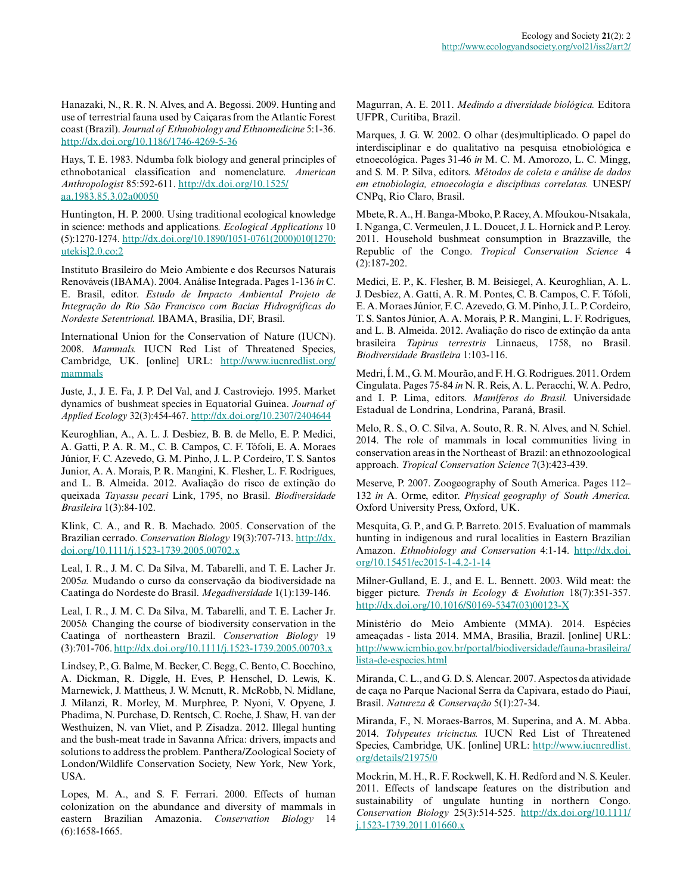Hanazaki, N., R. R. N. Alves, and A. Begossi. 2009. Hunting and use of terrestrial fauna used by Caiçaras from the Atlantic Forest coast (Brazil). *Journal of Ethnobiology and Ethnomedicine* 5:1-36. [http://dx.doi.org/10.1186/1746-4269-5-36](http://dx.doi.org/10.1186%2F1746-4269-5-36) 

Hays, T. E. 1983. Ndumba folk biology and general principles of ethnobotanical classification and nomenclature. *American Anthropologist* 85:592-611. [http://dx.doi.org/10.1525/](http://dx.doi.org/10.1525%2Faa.1983.85.3.02a00050) [aa.1983.85.3.02a00050](http://dx.doi.org/10.1525%2Faa.1983.85.3.02a00050)

Huntington, H. P. 2000. Using traditional ecological knowledge in science: methods and applications. *Ecological Applications* 10 (5):1270-1274. [http://dx.doi.org/10.1890/1051-0761\(2000\)010\[1270:](http://dx.doi.org/10.1890%2F1051-0761%282000%29010%5B1270%3Autekis%5D2.0.co%3B2) [utekis\]2.0.co;2](http://dx.doi.org/10.1890%2F1051-0761%282000%29010%5B1270%3Autekis%5D2.0.co%3B2) 

Instituto Brasileiro do Meio Ambiente e dos Recursos Naturais Renováveis (IBAMA). 2004. Análise Integrada. Pages 1-136 *in* C. E. Brasil, editor. *Estudo de Impacto Ambiental Projeto de Integração do Rio São Francisco com Bacias Hidrográficas do Nordeste Setentrional.* IBAMA, Brasília, DF, Brasil.

International Union for the Conservation of Nature (IUCN). 2008. *Mammals.* IUCN Red List of Threatened Species, Cambridge, UK. [online] URL: [http://www.iucnredlist.org/](http://www.iucnredlist.org/mammals) [mammals](http://www.iucnredlist.org/mammals)

Juste, J., J. E. Fa, J. P. Del Val, and J. Castroviejo. 1995. Market dynamics of bushmeat species in Equatorial Guinea. *Journal of Applied Ecology* 32(3):454-467. [http://dx.doi.org/10.2307/2404644](http://dx.doi.org/10.2307%2F2404644) 

Keuroghlian, A., A. L. J. Desbiez, B. B. de Mello, E. P. Medici, A. Gatti, P. A. R. M., C. B. Campos, C. F. Tófoli, E. A. Moraes Júnior, F. C. Azevedo, G. M. Pinho, J. L. P. Cordeiro, T. S. Santos Junior, A. A. Morais, P. R. Mangini, K. Flesher, L. F. Rodrigues, and L. B. Almeida. 2012. Avaliação do risco de extinção do queixada *Tayassu pecari* Link, 1795, no Brasil. *Biodiversidade Brasileira* 1(3):84-102.

Klink, C. A., and R. B. Machado. 2005. Conservation of the Brazilian cerrado. *Conservation Biology* 19(3):707-713. [http://dx.](http://dx.doi.org/10.1111%2Fj.1523-1739.2005.00702.x) [doi.org/10.1111/j.1523-1739.2005.00702.x](http://dx.doi.org/10.1111%2Fj.1523-1739.2005.00702.x)

Leal, I. R., J. M. C. Da Silva, M. Tabarelli, and T. E. Lacher Jr. 2005*a.* Mudando o curso da conservação da biodiversidade na Caatinga do Nordeste do Brasil. *Megadiversidade* 1(1):139-146.

Leal, I. R., J. M. C. Da Silva, M. Tabarelli, and T. E. Lacher Jr. 2005*b.* Changing the course of biodiversity conservation in the Caatinga of northeastern Brazil. *Conservation Biology* 19 (3):701-706. [http://dx.doi.org/10.1111/j.1523-1739.2005.00703.x](http://dx.doi.org/10.1111%2Fj.1523-1739.2005.00703.x)

Lindsey, P., G. Balme, M. Becker, C. Begg, C. Bento, C. Bocchino, A. Dickman, R. Diggle, H. Eves, P. Henschel, D. Lewis, K. Marnewick, J. Mattheus, J. W. Mcnutt, R. McRobb, N. Midlane, J. Milanzi, R. Morley, M. Murphree, P. Nyoni, V. Opyene, J. Phadima, N. Purchase, D. Rentsch, C. Roche, J. Shaw, H. van der Westhuizen, N. van Vliet, and P. Zisadza. 2012. Illegal hunting and the bush-meat trade in Savanna Africa: drivers, impacts and solutions to address the problem. Panthera/Zoological Society of London/Wildlife Conservation Society, New York, New York, USA.

Lopes, M. A., and S. F. Ferrari. 2000. Effects of human colonization on the abundance and diversity of mammals in eastern Brazilian Amazonia. *Conservation Biology* 14 (6):1658-1665.

Magurran, A. E. 2011. *Medindo a diversidade biológica.* Editora UFPR, Curitiba, Brazil.

Marques, J. G. W. 2002. O olhar (des)multiplicado. O papel do interdisciplinar e do qualitativo na pesquisa etnobiológica e etnoecológica. Pages 31-46 *in* M. C. M. Amorozo, L. C. Mingg, and S. M. P. Silva, editors. *Métodos de coleta e análise de dados em etnobiologia, etnoecologia e disciplinas correlatas.* UNESP/ CNPq, Rio Claro, Brasil.

Mbete, R. A., H. Banga-Mboko, P. Racey, A. Mfoukou-Ntsakala, I. Nganga, C. Vermeulen, J. L. Doucet, J. L. Hornick and P. Leroy. 2011. Household bushmeat consumption in Brazzaville, the Republic of the Congo. *Tropical Conservation Science* 4 (2):187-202.

Medici, E. P., K. Flesher, B. M. Beisiegel, A. Keuroghlian, A. L. J. Desbiez, A. Gatti, A. R. M. Pontes, C. B. Campos, C. F. Tófoli, E. A. Moraes Júnior, F. C. Azevedo, G. M. Pinho, J. L. P. Cordeiro, T. S. Santos Júnior, A. A. Morais, P. R. Mangini, L. F. Rodrigues, and L. B. Almeida. 2012. Avaliação do risco de extinção da anta brasileira *Tapirus terrestris* Linnaeus, 1758, no Brasil. *Biodiversidade Brasileira* 1:103-116.

Medri, Í. M., G. M. Mourão, and F. H. G. Rodrigues. 2011. Ordem Cingulata. Pages 75-84 *in* N. R. Reis, A. L. Peracchi, W. A. Pedro, and I. P. Lima, editors. *Mamíferos do Brasil.* Universidade Estadual de Londrina, Londrina, Paraná, Brasil.

Melo, R. S., O. C. Silva, A. Souto, R. R. N. Alves, and N. Schiel. 2014. The role of mammals in local communities living in conservation areas in the Northeast of Brazil: an ethnozoological approach. *Tropical Conservation Science* 7(3):423-439.

Meserve, P. 2007. Zoogeography of South America. Pages 112– 132 *in* A. Orme, editor. *Physical geography of South America.* Oxford University Press, Oxford, UK.

Mesquita, G. P., and G. P. Barreto. 2015. Evaluation of mammals hunting in indigenous and rural localities in Eastern Brazilian Amazon. *Ethnobiology and Conservation* 4:1-14. [http://dx.doi.](http://dx.doi.org/10.15451/ec2015-1-4.2-1-14) [org/10.15451/ec2015-1-4.2-1-14](http://dx.doi.org/10.15451/ec2015-1-4.2-1-14) 

Milner-Gulland, E. J., and E. L. Bennett. 2003. Wild meat: the bigger picture. *Trends in Ecology & Evolution* 18(7):351-357. [http://dx.doi.org/10.1016/S0169-5347\(03\)00123-X](http://dx.doi.org/10.1016/S0169-5347(03)00123-X) 

Ministério do Meio Ambiente (MMA). 2014. Espécies ameaçadas - lista 2014. MMA, Brasilia, Brazil. [online] URL: [http://www.icmbio.gov.br/portal/biodiversidade/fauna-brasileira/](http://www.icmbio.gov.br/portal/biodiversidade/fauna-brasileira/lista-de-especies.html) [lista-de-especies.html](http://www.icmbio.gov.br/portal/biodiversidade/fauna-brasileira/lista-de-especies.html) 

Miranda, C. L., and G. D. S. Alencar. 2007. Aspectos da atividade de caça no Parque Nacional Serra da Capivara, estado do Piauí, Brasil. *Natureza & Conservação* 5(1):27-34.

Miranda, F., N. Moraes-Barros, M. Superina, and A. M. Abba. 2014. *Tolypeutes tricinctus.* IUCN Red List of Threatened Species, Cambridge, UK. [online] URL: [http://www.iucnredlist.](http://www.iucnredlist.org/details/21975/0) [org/details/21975/0](http://www.iucnredlist.org/details/21975/0)

Mockrin, M. H., R. F. Rockwell, K. H. Redford and N. S. Keuler. 2011. Effects of landscape features on the distribution and sustainability of ungulate hunting in northern Congo. *Conservation Biology* 25(3):514-525. [http://dx.doi.org/10.1111/](http://dx.doi.org/10.1111%2Fj.1523-1739.2011.01660.x) [j.1523-1739.2011.01660.x](http://dx.doi.org/10.1111%2Fj.1523-1739.2011.01660.x)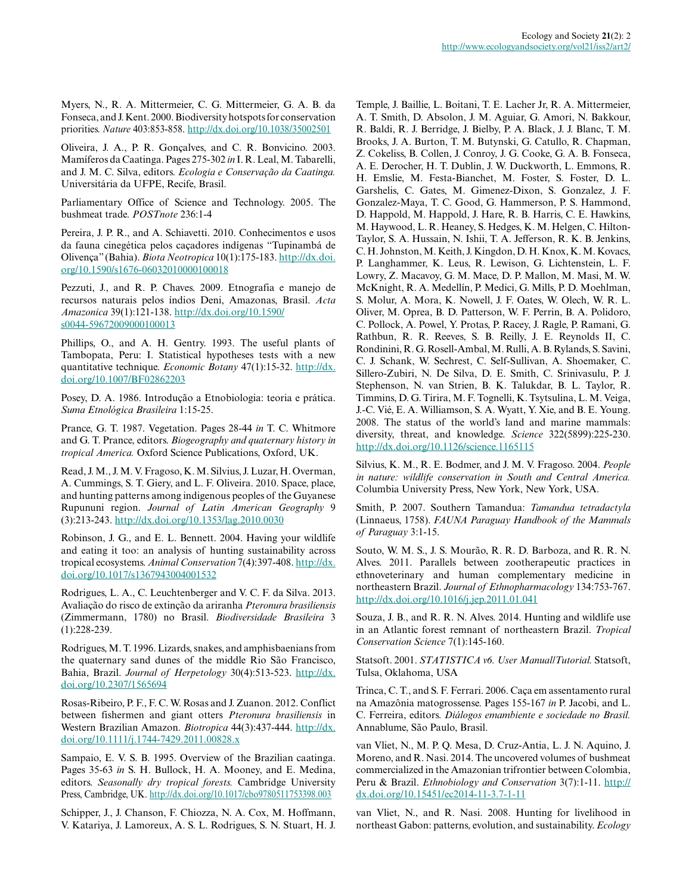Myers, N., R. A. Mittermeier, C. G. Mittermeier, G. A. B. da Fonseca, and J. Kent. 2000. Biodiversity hotspots for conservation priorities. *Nature* 403:853-858. [http://dx.doi.org/10.1038/35002501](http://dx.doi.org/10.1038%2F35002501) 

Oliveira, J. A., P. R. Gonçalves, and C. R. Bonvicino. 2003. Mamíferos da Caatinga. Pages 275-302 *in* I. R. Leal, M. Tabarelli, and J. M. C. Silva, editors. *Ecologia e Conservação da Caatinga.* Universitária da UFPE, Recife, Brasil.

Parliamentary Office of Science and Technology. 2005. The bushmeat trade. *POSTnote* 236:1-4

Pereira, J. P. R., and A. Schiavetti. 2010. Conhecimentos e usos da fauna cinegética pelos caçadores indígenas "Tupinambá de Olivença" (Bahia). *Biota Neotropica* 10(1):175-183. [http://dx.doi.](http://dx.doi.org/10.1590%2Fs1676-06032010000100018) [org/10.1590/s1676-06032010000100018](http://dx.doi.org/10.1590%2Fs1676-06032010000100018)

Pezzuti, J., and R. P. Chaves. 2009. Etnografia e manejo de recursos naturais pelos índios Deni, Amazonas, Brasil. *Acta Amazonica* 39(1):121-138. [http://dx.doi.org/10.1590/](http://dx.doi.org/10.1590%2Fs0044-59672009000100013) [s0044-59672009000100013](http://dx.doi.org/10.1590%2Fs0044-59672009000100013) 

Phillips, O., and A. H. Gentry. 1993. The useful plants of Tambopata, Peru: I. Statistical hypotheses tests with a new quantitative technique. *Economic Botany* 47(1):15-32. [http://dx.](http://dx.doi.org/10.1007%2FBF02862203) [doi.org/10.1007/BF02862203](http://dx.doi.org/10.1007%2FBF02862203)

Posey, D. A. 1986. Introdução a Etnobiologia: teoria e prática. *Suma Etnológica Brasileira* 1:15-25.

Prance, G. T. 1987. Vegetation. Pages 28-44 *in* T. C. Whitmore and G. T. Prance, editors. *Biogeography and quaternary history in tropical America.* Oxford Science Publications, Oxford, UK.

Read, J. M., J. M. V. Fragoso, K. M. Silvius, J. Luzar, H. Overman, A. Cummings, S. T. Giery, and L. F. Oliveira. 2010. Space, place, and hunting patterns among indigenous peoples of the Guyanese Rupununi region. *Journal of Latin American Geography* 9 (3):213-243. [http://dx.doi.org/10.1353/lag.2010.0030](http://dx.doi.org/10.1353%2Flag.2010.0030)

Robinson, J. G., and E. L. Bennett. 2004. Having your wildlife and eating it too: an analysis of hunting sustainability across tropical ecosystems. *Animal Conservation* 7(4):397-408. [http://dx.](http://dx.doi.org/10.1017%2Fs1367943004001532) [doi.org/10.1017/s1367943004001532](http://dx.doi.org/10.1017%2Fs1367943004001532)

Rodrigues, L. A., C. Leuchtenberger and V. C. F. da Silva. 2013. Avaliação do risco de extinção da ariranha *Pteronura brasiliensis* (Zimmermann, 1780) no Brasil. *Biodiversidade Brasileira* 3 (1):228-239.

Rodrigues, M. T. 1996. Lizards, snakes, and amphisbaenians from the quaternary sand dunes of the middle Rio São Francisco, Bahia, Brazil. *Journal of Herpetology* 30(4):513-523. [http://dx.](http://dx.doi.org/10.2307%2F1565694) [doi.org/10.2307/1565694](http://dx.doi.org/10.2307%2F1565694) 

Rosas-Ribeiro, P. F., F. C. W. Rosas and J. Zuanon. 2012. Conflict between fishermen and giant otters *Pteronura brasiliensis* in Western Brazilian Amazon. *Biotropica* 44(3):437-444. [http://dx.](http://dx.doi.org/10.1111%2Fj.1744-7429.2011.00828.x) [doi.org/10.1111/j.1744-7429.2011.00828.x](http://dx.doi.org/10.1111%2Fj.1744-7429.2011.00828.x)

Sampaio, E. V. S. B. 1995. Overview of the Brazilian caatinga. Pages 35-63 *in* S. H. Bullock, H. A. Mooney, and E. Medina, editors. *Seasonally dry tropical forests.* Cambridge University Press, Cambridge, UK. [http://dx.doi.org/10.1017/cbo9780511753398.003](http://dx.doi.org/10.1017%2Fcbo9780511753398.003)

Schipper, J., J. Chanson, F. Chiozza, N. A. Cox, M. Hoffmann, V. Katariya, J. Lamoreux, A. S. L. Rodrigues, S. N. Stuart, H. J. Temple, J. Baillie, L. Boitani, T. E. Lacher Jr, R. A. Mittermeier, A. T. Smith, D. Absolon, J. M. Aguiar, G. Amori, N. Bakkour, R. Baldi, R. J. Berridge, J. Bielby, P. A. Black, J. J. Blanc, T. M. Brooks, J. A. Burton, T. M. Butynski, G. Catullo, R. Chapman, Z. Cokeliss, B. Collen, J. Conroy, J. G. Cooke, G. A. B. Fonseca, A. E. Derocher, H. T. Dublin, J. W. Duckworth, L. Emmons, R. H. Emslie, M. Festa-Bianchet, M. Foster, S. Foster, D. L. Garshelis, C. Gates, M. Gimenez-Dixon, S. Gonzalez, J. F. Gonzalez-Maya, T. C. Good, G. Hammerson, P. S. Hammond, D. Happold, M. Happold, J. Hare, R. B. Harris, C. E. Hawkins, M. Haywood, L. R. Heaney, S. Hedges, K. M. Helgen, C. Hilton-Taylor, S. A. Hussain, N. Ishii, T. A. Jefferson, R. K. B. Jenkins, C. H. Johnston, M. Keith, J. Kingdon, D. H. Knox, K. M. Kovacs, P. Langhammer, K. Leus, R. Lewison, G. Lichtenstein, L. F. Lowry, Z. Macavoy, G. M. Mace, D. P. Mallon, M. Masi, M. W. McKnight, R. A. Medellín, P. Medici, G. Mills, P. D. Moehlman, S. Molur, A. Mora, K. Nowell, J. F. Oates, W. Olech, W. R. L. Oliver, M. Oprea, B. D. Patterson, W. F. Perrin, B. A. Polidoro, C. Pollock, A. Powel, Y. Protas, P. Racey, J. Ragle, P. Ramani, G. Rathbun, R. R. Reeves, S. B. Reilly, J. E. Reynolds II, C. Rondinini, R. G. Rosell-Ambal, M. Rulli, A. B. Rylands, S. Savini, C. J. Schank, W. Sechrest, C. Self-Sullivan, A. Shoemaker, C. Sillero-Zubiri, N. De Silva, D. E. Smith, C. Srinivasulu, P. J. Stephenson, N. van Strien, B. K. Talukdar, B. L. Taylor, R. Timmins, D. G. Tirira, M. F. Tognelli, K. Tsytsulina, L. M. Veiga, J.-C. Vié, E. A. Williamson, S. A. Wyatt, Y. Xie, and B. E. Young. 2008. The status of the world's land and marine mammals: diversity, threat, and knowledge. *Science* 322(5899):225-230. [http://dx.doi.org/10.1126/science.1165115](http://dx.doi.org/10.1126%2Fscience.1165115)

Silvius, K. M., R. E. Bodmer, and J. M. V. Fragoso. 2004. *People in nature: wildlife conservation in South and Central America.* Columbia University Press, New York, New York, USA.

Smith, P. 2007. Southern Tamandua: *Tamandua tetradactyla* (Linnaeus, 1758). *FAUNA Paraguay Handbook of the Mammals of Paraguay* 3:1-15.

Souto, W. M. S., J. S. Mourão, R. R. D. Barboza, and R. R. N. Alves. 2011. Parallels between zootherapeutic practices in ethnoveterinary and human complementary medicine in northeastern Brazil. *Journal of Ethnopharmacology* 134:753-767. [http://dx.doi.org/10.1016/j.jep.2011.01.041](http://dx.doi.org/10.1016%2Fj.jep.2011.01.041) 

Souza, J. B., and R. R. N. Alves. 2014. Hunting and wildlife use in an Atlantic forest remnant of northeastern Brazil. *Tropical Conservation Science* 7(1):145-160.

Statsoft. 2001. *STATISTICA v6. User Manual/Tutorial.* Statsoft, Tulsa, Oklahoma, USA

Trinca, C. T., and S. F. Ferrari. 2006. Caça em assentamento rural na Amazônia matogrossense. Pages 155-167 *in* P. Jacobi, and L. C. Ferreira, editors. *Diálogos emambiente e sociedade no Brasil.* Annablume, São Paulo, Brasil.

van Vliet, N., M. P. Q. Mesa, D. Cruz-Antia, L. J. N. Aquino, J. Moreno, and R. Nasi. 2014. The uncovered volumes of bushmeat commercialized in the Amazonian trifrontier between Colombia, Peru & Brazil. *Ethnobiology and Conservation* 3(7):1-11. [http://](http://dx.doi.org/10.15451/ec2014-11-3.7-1-11) [dx.doi.org/10.15451/ec2014-11-3.7-1-11](http://dx.doi.org/10.15451/ec2014-11-3.7-1-11)

van Vliet, N., and R. Nasi. 2008. Hunting for livelihood in northeast Gabon: patterns, evolution, and sustainability. *Ecology*